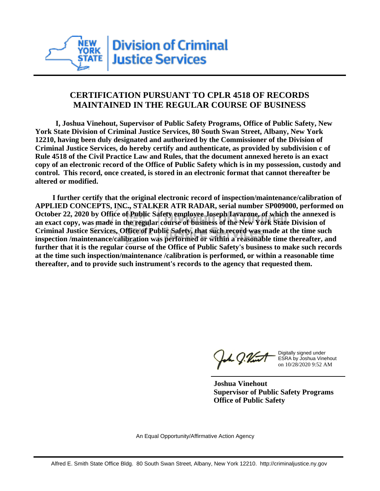

## **CERTIFICATION PURSUANT TO CPLR 4518 OF RECORDS MAINTAINED IN THE REGULAR COURSE OF BUSINESS**

 **I, Joshua Vinehout, Supervisor of Public Safety Programs, Office of Public Safety, New York State Division of Criminal Justice Services, 80 South Swan Street, Albany, New York 12210, having been duly designated and authorized by the Commissioner of the Division of Criminal Justice Services, do hereby certify and authenticate, as provided by subdivision c of Rule 4518 of the Civil Practice Law and Rules, that the document annexed hereto is an exact copy of an electronic record of the Office of Public Safety which is in my possession, custody and control. This record, once created, is stored in an electronic format that cannot thereafter be altered or modified.**

 **I further certify that the original electronic record of inspection/maintenance/calibration of APPLIED CONCEPTS, INC., STALKER ATR RADAR, serial number SP009000, performed on October 22, 2020 by Office of Public Safety employee Joseph Iavarone, of which the annexed is an exact copy, was made in the regular course of business of the New York State Division of Criminal Justice Services, Office of Public Safety, that such record was made at the time such inspection /maintenance/calibration was performed or within a reasonable time thereafter, and further that it is the regular course of the Office of Public Safety's business to make such records at the time such inspection/maintenance /calibration is performed, or within a reasonable time thereafter, and to provide such instrument's records to the agency that requested them.**

h J.Vint

Digitally signed under ESRA by Joshua Vinehout on 10/28/2020 9:52 AM

**Joshua Vinehout Supervisor of Public Safety Programs Office of Public Safety**

An Equal Opportunity/Affirmative Action Agency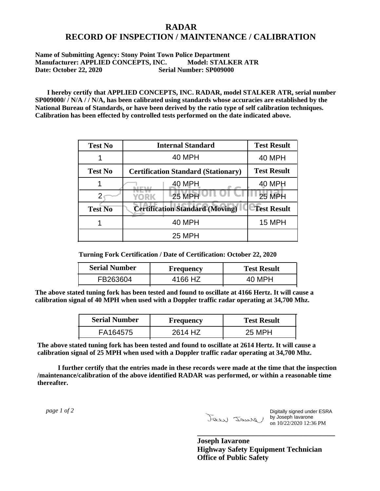## **RADAR RECORD OF INSPECTION / MAINTENANCE / CALIBRATION**

## **Name of Submitting Agency: Stony Point Town Police Department Manufacturer: APPLIED CONCEPTS, INC. Model: STALKER ATR Date: October 22, 2020 Serial Number: SP009000**

 **I hereby certify that APPLIED CONCEPTS, INC. RADAR, model STALKER ATR, serial number SP009000/ / N/A / / N/A, has been calibrated using standards whose accuracies are established by the National Bureau of Standards, or have been derived by the ratio type of self calibration techniques. Calibration has been effected by controlled tests performed on the date indicated above.**

| <b>Test No</b> | <b>Internal Standard</b>                   | <b>Test Result</b> |
|----------------|--------------------------------------------|--------------------|
|                | 40 MPH                                     | 40 MPH             |
| <b>Test No</b> | <b>Certification Standard (Stationary)</b> | <b>Test Result</b> |
|                | 40 MPH                                     | 40 MPH             |
|                | <b>25 MPH</b><br>YORK                      | 25 MPH             |
| <b>Test No</b> | <b>Certification Standard (Moving)</b>     | <b>Test Result</b> |
|                | 40 MPH                                     | 15 MPH             |
|                | 25 MPH                                     |                    |

**Turning Fork Certification / Date of Certification: October 22, 2020**

| <b>Serial Number</b> | <b>Frequency</b> | <b>Test Result</b> |
|----------------------|------------------|--------------------|
| FB263604             | 4166 HZ          |                    |

**The above stated tuning fork has been tested and found to oscillate at 4166 Hertz. It will cause a calibration signal of 40 MPH when used with a Doppler traffic radar operating at 34,700 Mhz.**

| <b>Serial Number</b> | Frequency | <b>Test Result</b> |
|----------------------|-----------|--------------------|
| FA164575             | 2614 HZ   | 25 MPH             |

**The above stated tuning fork has been tested and found to oscillate at 2614 Hertz. It will cause a calibration signal of 25 MPH when used with a Doppler traffic radar operating at 34,700 Mhz.**

 **I further certify that the entries made in these records were made at the time that the inspection /maintenance/calibration of the above identified RADAR was performed, or within a reasonable time thereafter.**

 *page 1 of 2* 

Digitally signed under ESRA by Joseph Iavarone on 10/22/2020 12:36 PM

**Joseph Iavarone Highway Safety Equipment Technician Office of Public Safety**

**\_\_\_\_\_\_\_\_\_\_\_\_\_\_\_\_\_\_\_\_\_\_\_\_\_\_\_\_\_\_\_\_\_\_\_\_\_**